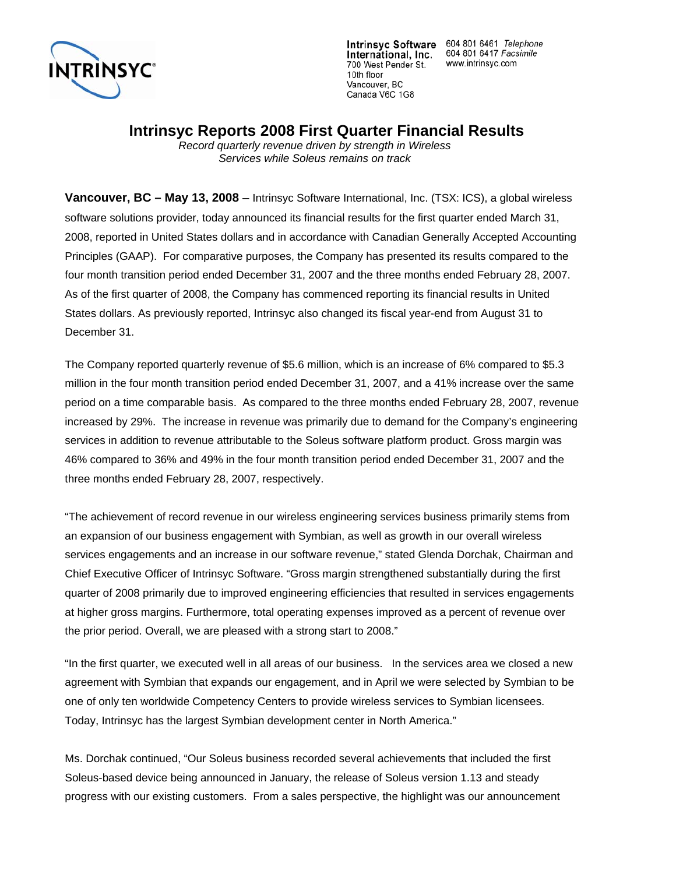

Intrinsyc Software 604 801 6461 Telephone<br>International, Inc. 604 801 6417 Facsimile<br>700 West Pender St www.intrinsyc.com www.intrinsyc.com

### **Intrinsyc Reports 2008 First Quarter Financial Results**

*Record quarterly revenue driven by strength in Wireless Services while Soleus remains on track* 

**Vancouver, BC – May 13, 2008** – Intrinsyc Software International, Inc. (TSX: ICS), a global wireless software solutions provider, today announced its financial results for the first quarter ended March 31, 2008, reported in United States dollars and in accordance with Canadian Generally Accepted Accounting Principles (GAAP). For comparative purposes, the Company has presented its results compared to the four month transition period ended December 31, 2007 and the three months ended February 28, 2007. As of the first quarter of 2008, the Company has commenced reporting its financial results in United States dollars. As previously reported, Intrinsyc also changed its fiscal year-end from August 31 to December 31.

The Company reported quarterly revenue of \$5.6 million, which is an increase of 6% compared to \$5.3 million in the four month transition period ended December 31, 2007, and a 41% increase over the same period on a time comparable basis. As compared to the three months ended February 28, 2007, revenue increased by 29%. The increase in revenue was primarily due to demand for the Company's engineering services in addition to revenue attributable to the Soleus software platform product. Gross margin was 46% compared to 36% and 49% in the four month transition period ended December 31, 2007 and the three months ended February 28, 2007, respectively.

"The achievement of record revenue in our wireless engineering services business primarily stems from an expansion of our business engagement with Symbian, as well as growth in our overall wireless services engagements and an increase in our software revenue," stated Glenda Dorchak, Chairman and Chief Executive Officer of Intrinsyc Software. "Gross margin strengthened substantially during the first quarter of 2008 primarily due to improved engineering efficiencies that resulted in services engagements at higher gross margins. Furthermore, total operating expenses improved as a percent of revenue over the prior period. Overall, we are pleased with a strong start to 2008."

"In the first quarter, we executed well in all areas of our business. In the services area we closed a new agreement with Symbian that expands our engagement, and in April we were selected by Symbian to be one of only ten worldwide Competency Centers to provide wireless services to Symbian licensees. Today, Intrinsyc has the largest Symbian development center in North America."

Ms. Dorchak continued, "Our Soleus business recorded several achievements that included the first Soleus-based device being announced in January, the release of Soleus version 1.13 and steady progress with our existing customers. From a sales perspective, the highlight was our announcement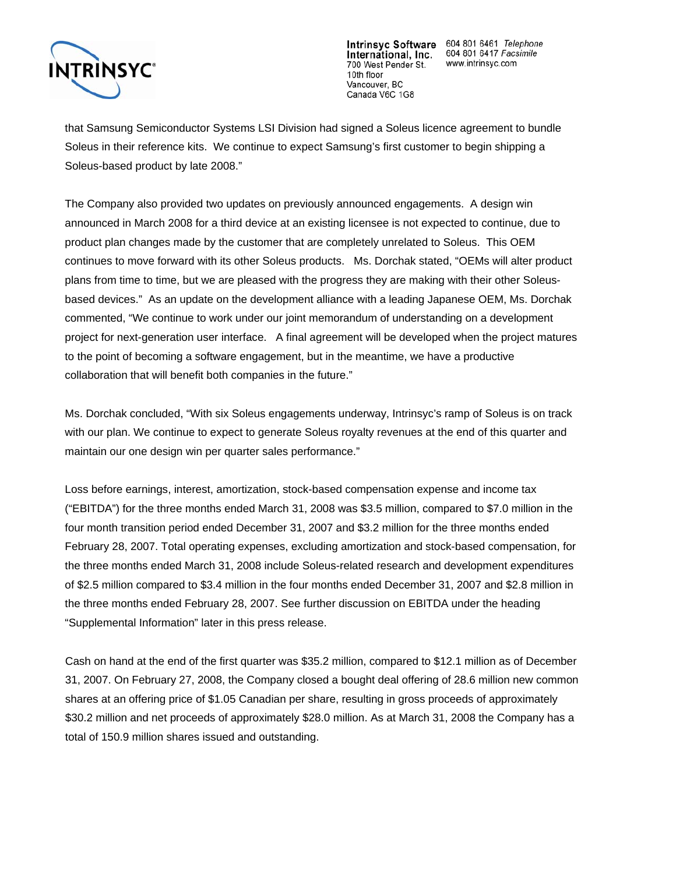

Intrinsyc Software 604 801 6461 Telephone International, Inc. 604 801 6417 Falephone<br>1 **Differentional, Inc.** 604 801 6417 Facsimile www.intrinsyc.com

that Samsung Semiconductor Systems LSI Division had signed a Soleus licence agreement to bundle Soleus in their reference kits. We continue to expect Samsung's first customer to begin shipping a Soleus-based product by late 2008."

The Company also provided two updates on previously announced engagements. A design win announced in March 2008 for a third device at an existing licensee is not expected to continue, due to product plan changes made by the customer that are completely unrelated to Soleus. This OEM continues to move forward with its other Soleus products. Ms. Dorchak stated, "OEMs will alter product plans from time to time, but we are pleased with the progress they are making with their other Soleusbased devices." As an update on the development alliance with a leading Japanese OEM, Ms. Dorchak commented, "We continue to work under our joint memorandum of understanding on a development project for next-generation user interface. A final agreement will be developed when the project matures to the point of becoming a software engagement, but in the meantime, we have a productive collaboration that will benefit both companies in the future."

Ms. Dorchak concluded, "With six Soleus engagements underway, Intrinsyc's ramp of Soleus is on track with our plan. We continue to expect to generate Soleus royalty revenues at the end of this quarter and maintain our one design win per quarter sales performance."

Loss before earnings, interest, amortization, stock-based compensation expense and income tax ("EBITDA") for the three months ended March 31, 2008 was \$3.5 million, compared to \$7.0 million in the four month transition period ended December 31, 2007 and \$3.2 million for the three months ended February 28, 2007. Total operating expenses, excluding amortization and stock-based compensation, for the three months ended March 31, 2008 include Soleus-related research and development expenditures of \$2.5 million compared to \$3.4 million in the four months ended December 31, 2007 and \$2.8 million in the three months ended February 28, 2007. See further discussion on EBITDA under the heading "Supplemental Information" later in this press release.

Cash on hand at the end of the first quarter was \$35.2 million, compared to \$12.1 million as of December 31, 2007. On February 27, 2008, the Company closed a bought deal offering of 28.6 million new common shares at an offering price of \$1.05 Canadian per share, resulting in gross proceeds of approximately \$30.2 million and net proceeds of approximately \$28.0 million. As at March 31, 2008 the Company has a total of 150.9 million shares issued and outstanding.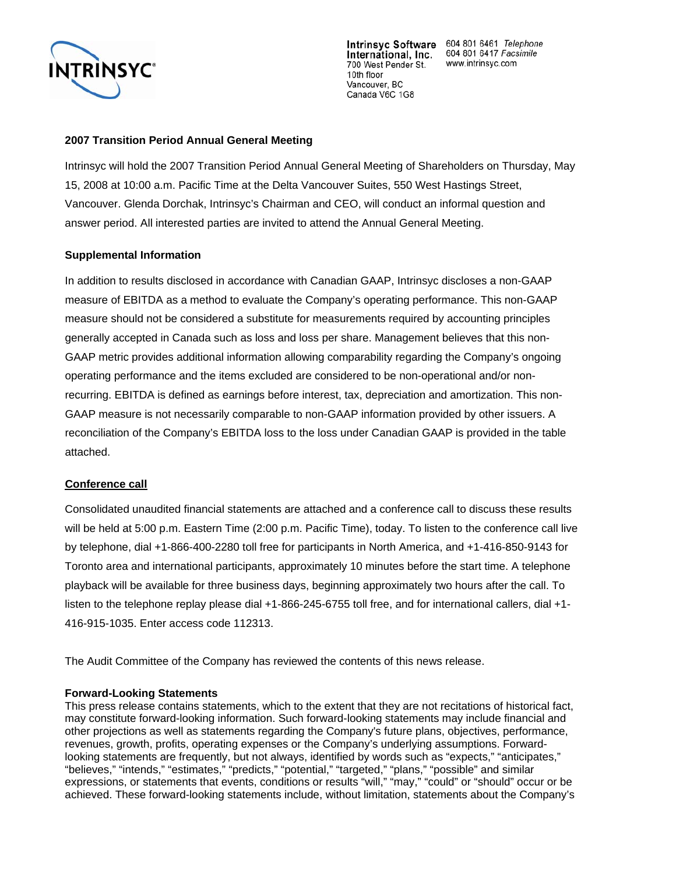

International, Inc. 700 West Pender St. 10th floor Vancouver, BC Canada V6C 1G8

Intrinsyc Software 604 801 6461 Telephone 604 801 6417 Facsimile www.intrinsyc.com

#### **2007 Transition Period Annual General Meeting**

Intrinsyc will hold the 2007 Transition Period Annual General Meeting of Shareholders on Thursday, May 15, 2008 at 10:00 a.m. Pacific Time at the Delta Vancouver Suites, 550 West Hastings Street, Vancouver. Glenda Dorchak, Intrinsyc's Chairman and CEO, will conduct an informal question and answer period. All interested parties are invited to attend the Annual General Meeting.

#### **Supplemental Information**

In addition to results disclosed in accordance with Canadian GAAP, Intrinsyc discloses a non-GAAP measure of EBITDA as a method to evaluate the Company's operating performance. This non-GAAP measure should not be considered a substitute for measurements required by accounting principles generally accepted in Canada such as loss and loss per share. Management believes that this non-GAAP metric provides additional information allowing comparability regarding the Company's ongoing operating performance and the items excluded are considered to be non-operational and/or nonrecurring. EBITDA is defined as earnings before interest, tax, depreciation and amortization. This non-GAAP measure is not necessarily comparable to non-GAAP information provided by other issuers. A reconciliation of the Company's EBITDA loss to the loss under Canadian GAAP is provided in the table attached.

#### **Conference call**

Consolidated unaudited financial statements are attached and a conference call to discuss these results will be held at 5:00 p.m. Eastern Time (2:00 p.m. Pacific Time), today. To listen to the conference call live by telephone, dial +1-866-400-2280 toll free for participants in North America, and +1-416-850-9143 for Toronto area and international participants, approximately 10 minutes before the start time. A telephone playback will be available for three business days, beginning approximately two hours after the call. To listen to the telephone replay please dial +1-866-245-6755 toll free, and for international callers, dial +1- 416-915-1035. Enter access code 112313.

The Audit Committee of the Company has reviewed the contents of this news release.

#### **Forward-Looking Statements**

This press release contains statements, which to the extent that they are not recitations of historical fact, may constitute forward-looking information. Such forward-looking statements may include financial and other projections as well as statements regarding the Company's future plans, objectives, performance, revenues, growth, profits, operating expenses or the Company's underlying assumptions. Forwardlooking statements are frequently, but not always, identified by words such as "expects," "anticipates," "believes," "intends," "estimates," "predicts," "potential," "targeted," "plans," "possible" and similar expressions, or statements that events, conditions or results "will," "may," "could" or "should" occur or be achieved. These forward-looking statements include, without limitation, statements about the Company's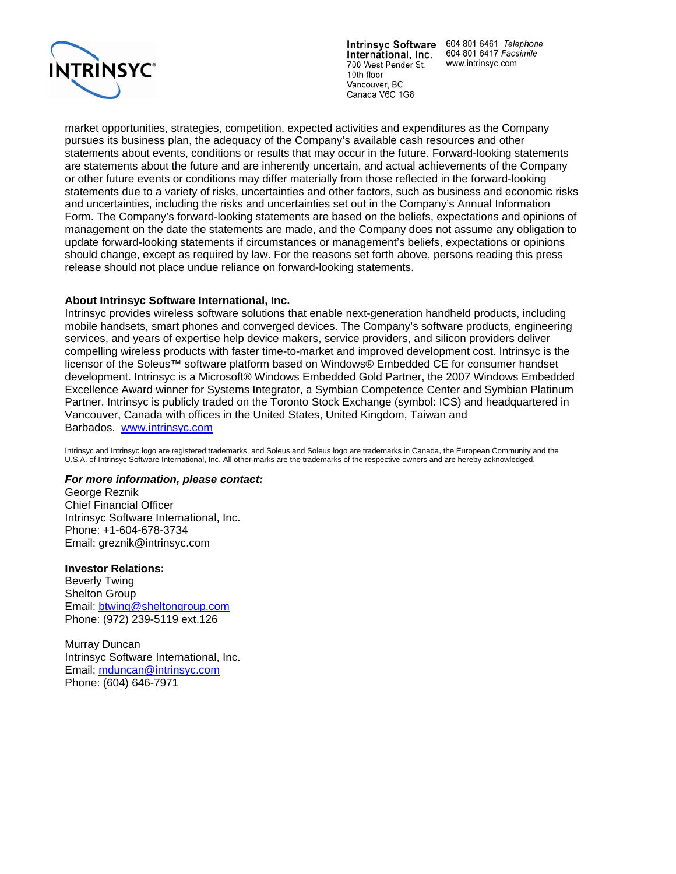

International, Inc. 700 West Pender St. 10th floor Vancouver, BC Canada V6C 1G8

Intrinsyc Software 604 801 6461 Telephone 604 801 6417 Facsimile www.intrinsyc.com

market opportunities, strategies, competition, expected activities and expenditures as the Company pursues its business plan, the adequacy of the Company's available cash resources and other statements about events, conditions or results that may occur in the future. Forward-looking statements are statements about the future and are inherently uncertain, and actual achievements of the Company or other future events or conditions may differ materially from those reflected in the forward-looking statements due to a variety of risks, uncertainties and other factors, such as business and economic risks and uncertainties, including the risks and uncertainties set out in the Company's Annual Information Form. The Company's forward-looking statements are based on the beliefs, expectations and opinions of management on the date the statements are made, and the Company does not assume any obligation to update forward-looking statements if circumstances or management's beliefs, expectations or opinions should change, except as required by law. For the reasons set forth above, persons reading this press release should not place undue reliance on forward-looking statements.

#### **About Intrinsyc Software International, Inc.**

Intrinsyc provides wireless software solutions that enable next-generation handheld products, including mobile handsets, smart phones and converged devices. The Company's software products, engineering services, and years of expertise help device makers, service providers, and silicon providers deliver compelling wireless products with faster time-to-market and improved development cost. Intrinsyc is the licensor of the Soleus™ software platform based on Windows® Embedded CE for consumer handset development. Intrinsyc is a Microsoft® Windows Embedded Gold Partner, the 2007 Windows Embedded Excellence Award winner for Systems Integrator, a Symbian Competence Center and Symbian Platinum Partner. Intrinsyc is publicly traded on the Toronto Stock Exchange (symbol: ICS) and headquartered in Vancouver, Canada with offices in the United States, United Kingdom, Taiwan and Barbados. [www.intr](http://www.intrinsyc.com/)insyc.com

Intrinsyc and Intrinsyc logo are registered trademarks, and Soleus and Soleus logo are trademarks in Canada, the European Community and the U.S.A. of Intrinsyc Software International, Inc. All other marks are the trademarks of the respective owners and are hereby acknowledged.

#### *For more information, please contact:*

George Reznik Chief Financial Officer Intrinsyc Software International, Inc. Phone: +1-604-678-3734 Email: greznik@intrinsyc.com

#### **Investor Relations:**

Beverly Twing Shelton Group Email: [btwing@sheltongroup.com](mailto:btwing@sheltongroup.com)  Phone: (972) 239-5119 ext.126

Murray Duncan Intrinsyc Software International, Inc. Email: [mduncan@intrinsyc.com](mailto:mduncan@intrinsyc.com) Phone: (604) 646-7971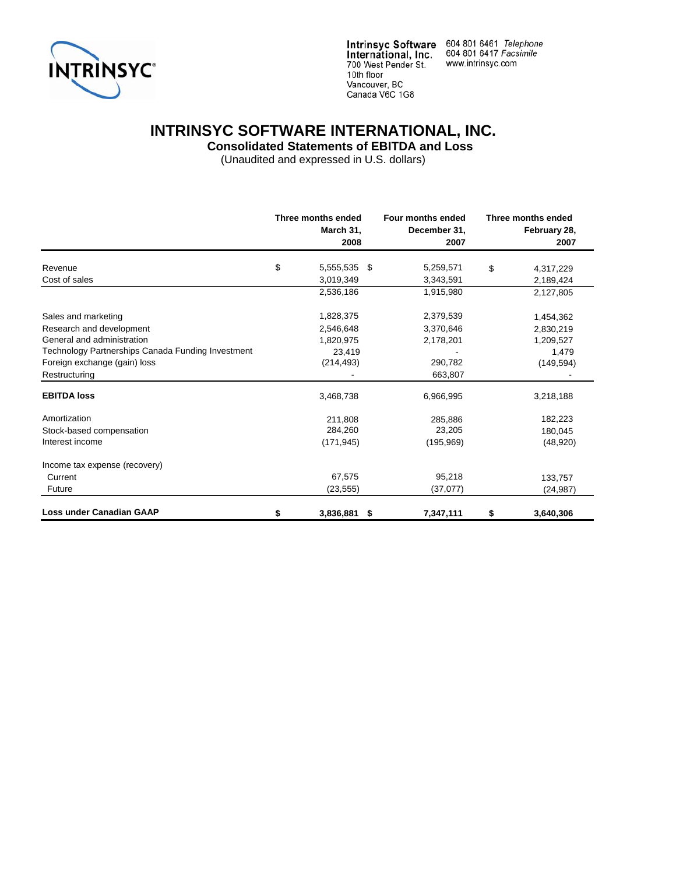

Intrinsyc Software 604 801 6461 Telephone<br>International, Inc. 604 801 6417 Facsimile<br>700 West Pender St. www.intrinsyc.com 10th floor Vancouver, BC Canada V6C 1G8

# **INTRINSYC SOFTWARE INTERNATIONAL, INC.**

 **Consolidated Statements of EBITDA and Loss** 

|                                                   | Three months ended<br>March 31,<br>2008 |     | Four months ended<br>December 31,<br>2007 | Three months ended<br>February 28,<br>2007 |
|---------------------------------------------------|-----------------------------------------|-----|-------------------------------------------|--------------------------------------------|
| Revenue                                           | \$<br>5,555,535                         | -\$ | 5,259,571                                 | \$<br>4,317,229                            |
| Cost of sales                                     | 3,019,349                               |     | 3,343,591                                 | 2,189,424                                  |
|                                                   | 2,536,186                               |     | 1,915,980                                 | 2,127,805                                  |
| Sales and marketing                               | 1,828,375                               |     | 2,379,539                                 | 1,454,362                                  |
| Research and development                          | 2,546,648                               |     | 3,370,646                                 | 2,830,219                                  |
| General and administration                        | 1,820,975                               |     | 2,178,201                                 | 1,209,527                                  |
| Technology Partnerships Canada Funding Investment | 23,419                                  |     |                                           | 1,479                                      |
| Foreign exchange (gain) loss                      | (214, 493)                              |     | 290,782                                   | (149, 594)                                 |
| Restructuring                                     |                                         |     | 663,807                                   |                                            |
| <b>EBITDA loss</b>                                | 3,468,738                               |     | 6,966,995                                 | 3,218,188                                  |
| Amortization                                      | 211.808                                 |     | 285,886                                   | 182,223                                    |
| Stock-based compensation                          | 284,260                                 |     | 23,205                                    | 180,045                                    |
| Interest income                                   | (171, 945)                              |     | (195, 969)                                | (48,920)                                   |
| Income tax expense (recovery)                     |                                         |     |                                           |                                            |
| Current                                           | 67,575                                  |     | 95,218                                    | 133,757                                    |
| Future                                            | (23, 555)                               |     | (37,077)                                  | (24, 987)                                  |
| Loss under Canadian GAAP                          | \$<br>3,836,881                         | -\$ | 7,347,111                                 | \$<br>3,640,306                            |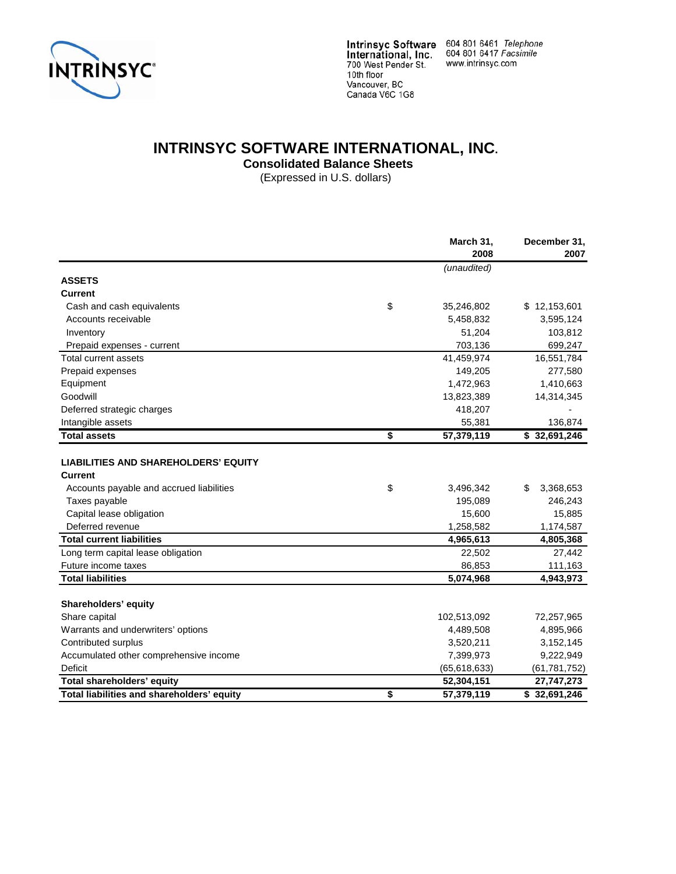

### **INTRINSYC SOFTWARE INTERNATIONAL, INC.**

**Consolidated Balance Sheets** 

(Expressed in U.S. dollars)

|                                                                                                                                                                            | March 31,<br>2008                                 | December 31,<br>2007                              |
|----------------------------------------------------------------------------------------------------------------------------------------------------------------------------|---------------------------------------------------|---------------------------------------------------|
|                                                                                                                                                                            | (unaudited)                                       |                                                   |
| <b>ASSETS</b>                                                                                                                                                              |                                                   |                                                   |
| Current                                                                                                                                                                    |                                                   |                                                   |
| Cash and cash equivalents                                                                                                                                                  | \$<br>35,246,802                                  | \$12,153,601                                      |
| Accounts receivable                                                                                                                                                        | 5,458,832                                         | 3,595,124                                         |
| Inventory                                                                                                                                                                  | 51,204                                            | 103,812                                           |
| Prepaid expenses - current                                                                                                                                                 | 703,136                                           | 699,247                                           |
| <b>Total current assets</b>                                                                                                                                                | 41,459,974                                        | 16,551,784                                        |
| Prepaid expenses                                                                                                                                                           | 149,205                                           | 277,580                                           |
| Equipment                                                                                                                                                                  | 1,472,963                                         | 1,410,663                                         |
| Goodwill                                                                                                                                                                   | 13,823,389                                        | 14,314,345                                        |
| Deferred strategic charges                                                                                                                                                 | 418,207                                           |                                                   |
| Intangible assets                                                                                                                                                          | 55,381                                            | 136,874                                           |
| <b>Total assets</b>                                                                                                                                                        | \$<br>57,379,119                                  | \$32,691,246                                      |
| <b>LIABILITIES AND SHAREHOLDERS' EQUITY</b><br><b>Current</b><br>Accounts payable and accrued liabilities<br>Taxes payable<br>Capital lease obligation<br>Deferred revenue | \$<br>3,496,342<br>195,089<br>15,600<br>1,258,582 | \$<br>3,368,653<br>246,243<br>15,885<br>1,174,587 |
| <b>Total current liabilities</b>                                                                                                                                           | 4,965,613                                         | 4,805,368                                         |
| Long term capital lease obligation                                                                                                                                         | 22,502                                            | 27,442                                            |
| Future income taxes                                                                                                                                                        | 86,853                                            | 111,163                                           |
| <b>Total liabilities</b>                                                                                                                                                   | 5,074,968                                         | 4,943,973                                         |
| Shareholders' equity                                                                                                                                                       |                                                   |                                                   |
| Share capital                                                                                                                                                              | 102,513,092                                       | 72,257,965                                        |
| Warrants and underwriters' options                                                                                                                                         | 4,489,508                                         | 4,895,966                                         |
| Contributed surplus                                                                                                                                                        | 3,520,211                                         | 3,152,145                                         |
| Accumulated other comprehensive income                                                                                                                                     | 7,399,973                                         | 9,222,949                                         |
| <b>Deficit</b>                                                                                                                                                             | (65, 618, 633)                                    | (61, 781, 752)                                    |
| Total shareholders' equity                                                                                                                                                 | 52,304,151                                        | 27,747,273                                        |
| Total liabilities and shareholders' equity                                                                                                                                 | \$<br>57,379,119                                  | $\overline{$}32,691,246$                          |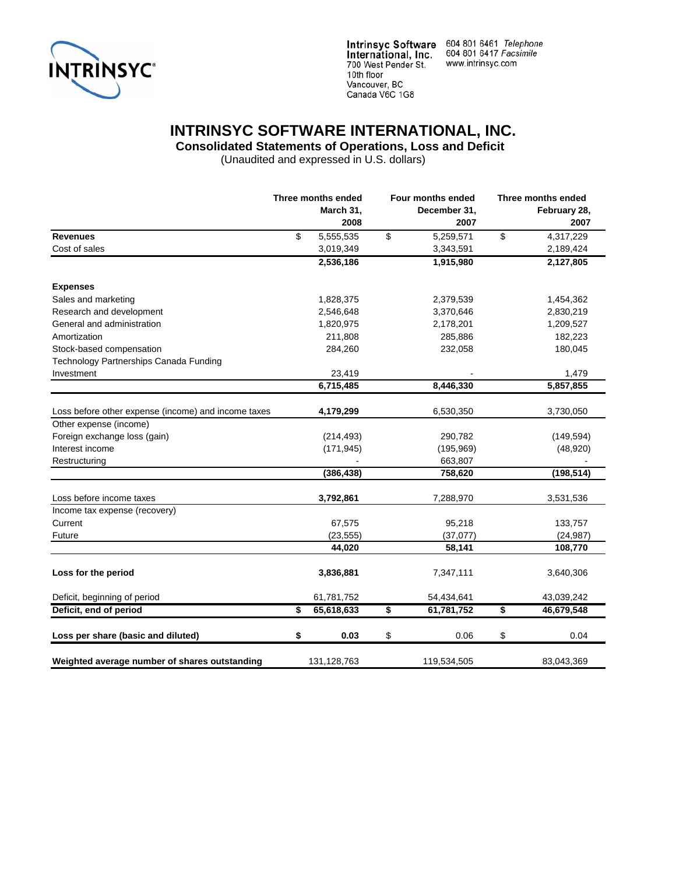

Intrinsyc Software 604 801 6461 Telephone<br>International, Inc. 604 801 6417 Facsimile www.intrinsyc.com

## **INTRINSYC SOFTWARE INTERNATIONAL, INC.**

 **Consolidated Statements of Operations, Loss and Deficit** 

|                                                     | Three months ended |    | Four months ended    |    | Three months ended   |  |
|-----------------------------------------------------|--------------------|----|----------------------|----|----------------------|--|
|                                                     | March 31,<br>2008  |    | December 31,<br>2007 |    | February 28,<br>2007 |  |
| <b>Revenues</b>                                     | \$<br>5,555,535    | \$ | 5,259,571            | \$ | 4,317,229            |  |
| Cost of sales                                       | 3,019,349          |    | 3,343,591            |    | 2,189,424            |  |
|                                                     | 2,536,186          |    | 1,915,980            |    | 2,127,805            |  |
| <b>Expenses</b>                                     |                    |    |                      |    |                      |  |
| Sales and marketing                                 | 1,828,375          |    | 2,379,539            |    | 1,454,362            |  |
| Research and development                            | 2,546,648          |    | 3,370,646            |    | 2,830,219            |  |
| General and administration                          | 1,820,975          |    | 2,178,201            |    | 1,209,527            |  |
| Amortization                                        | 211,808            |    | 285,886              |    | 182,223              |  |
| Stock-based compensation                            | 284,260            |    | 232,058              |    | 180,045              |  |
| Technology Partnerships Canada Funding              |                    |    |                      |    |                      |  |
| Investment                                          | 23,419             |    |                      |    | 1,479                |  |
|                                                     | 6,715,485          |    | 8,446,330            |    | 5,857,855            |  |
|                                                     |                    |    |                      |    |                      |  |
| Loss before other expense (income) and income taxes | 4,179,299          |    | 6,530,350            |    | 3,730,050            |  |
| Other expense (income)                              |                    |    |                      |    |                      |  |
| Foreign exchange loss (gain)                        | (214, 493)         |    | 290,782              |    | (149, 594)           |  |
| Interest income                                     | (171, 945)         |    | (195, 969)           |    | (48, 920)            |  |
| Restructuring                                       |                    |    | 663,807              |    |                      |  |
|                                                     | (386, 438)         |    | 758,620              |    | (198, 514)           |  |
| Loss before income taxes                            | 3,792,861          |    | 7,288,970            |    | 3,531,536            |  |
| Income tax expense (recovery)                       |                    |    |                      |    |                      |  |
| Current                                             | 67,575             |    | 95,218               |    | 133,757              |  |
| Future                                              | (23, 555)          |    | (37,077)             |    | (24, 987)            |  |
|                                                     | 44,020             |    | 58,141               |    | 108,770              |  |
| Loss for the period                                 | 3,836,881          |    | 7,347,111            |    | 3,640,306            |  |
| Deficit, beginning of period                        | 61,781,752         |    | 54,434,641           |    | 43,039,242           |  |
| Deficit, end of period                              | \$<br>65,618,633   | \$ | 61,781,752           | \$ | 46,679,548           |  |
|                                                     |                    |    |                      |    |                      |  |
| Loss per share (basic and diluted)                  | \$<br>0.03         | \$ | 0.06                 | \$ | 0.04                 |  |
| Weighted average number of shares outstanding       | 131, 128, 763      |    | 119,534,505          |    | 83,043,369           |  |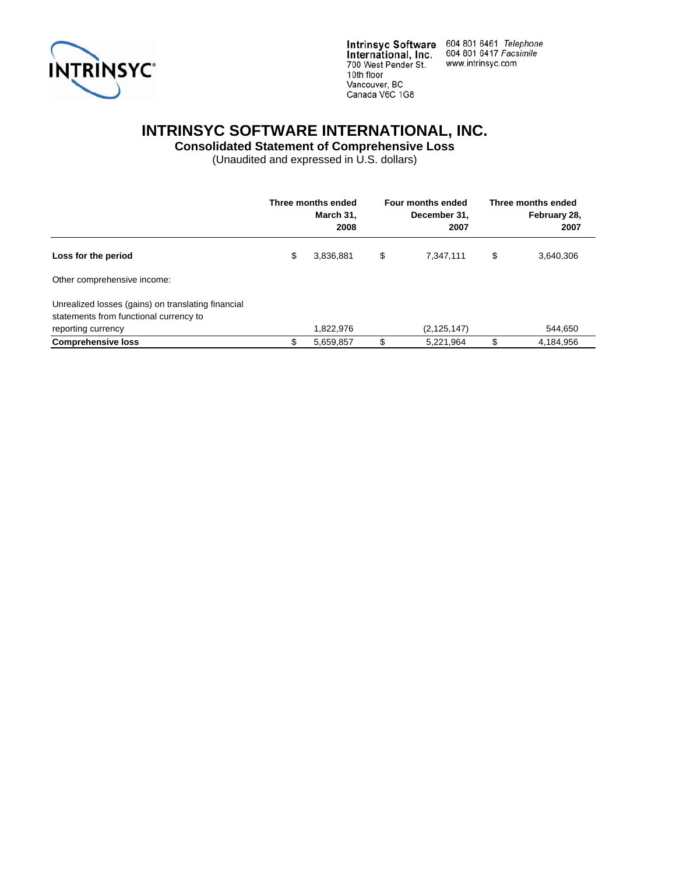

Intrinsyc Software 604 801 6461 Telephone<br>International, Inc. 604 801 6417 Facsimile<br>700 West Pender St. www.intrinsyc.com 10th floor Vancouver, BC Canada V6C 1G8

## **INTRINSYC SOFTWARE INTERNATIONAL, INC.**

**Consolidated Statement of Comprehensive Loss** 

|                                                                                                                    | Three months ended<br>March 31,<br>2008 | Four months ended<br>December 31,<br>2007 | Three months ended<br>February 28,<br>2007 |
|--------------------------------------------------------------------------------------------------------------------|-----------------------------------------|-------------------------------------------|--------------------------------------------|
| Loss for the period                                                                                                | \$<br>3,836,881                         | \$<br>7.347.111                           | \$<br>3,640,306                            |
| Other comprehensive income:                                                                                        |                                         |                                           |                                            |
| Unrealized losses (gains) on translating financial<br>statements from functional currency to<br>reporting currency | 1,822,976                               | (2, 125, 147)                             | 544,650                                    |
| <b>Comprehensive loss</b>                                                                                          | 5,659,857                               | \$<br>5,221,964                           | 4,184,956                                  |